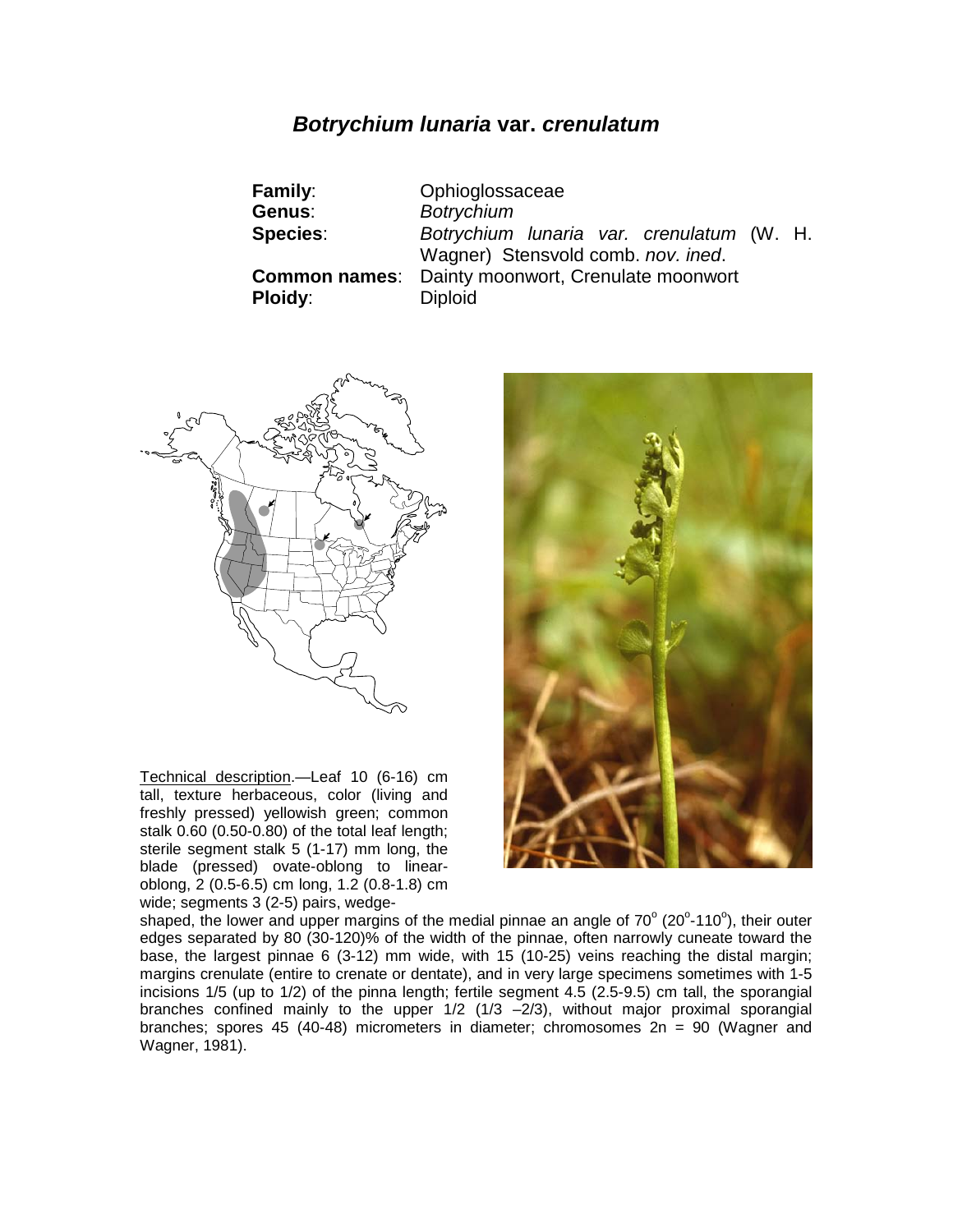# *Botrychium lunaria* **var.** *crenulatum*

| Family:         | Ophioglossaceae                                          |  |
|-----------------|----------------------------------------------------------|--|
| Genus:          | <b>Botrychium</b>                                        |  |
| <b>Species:</b> | Botrychium Iunaria var. crenulatum (W. H.                |  |
|                 | Wagner) Stensvold comb. nov. ined.                       |  |
|                 | <b>Common names:</b> Dainty moonwort, Crenulate moonwort |  |
| <b>Ploidy:</b>  | <b>Diploid</b>                                           |  |



Technical description.—Leaf 10 (6-16) cm tall, texture herbaceous, color (living and freshly pressed) yellowish green; common stalk 0.60 (0.50-0.80) of the total leaf length; sterile segment stalk 5 (1-17) mm long, the blade (pressed) ovate-oblong to linearoblong, 2 (0.5-6.5) cm long, 1.2 (0.8-1.8) cm wide; segments 3 (2-5) pairs, wedge-



shaped, the lower and upper margins of the medial pinnae an angle of 70 $^{\circ}$  (20 $^{\circ}$ -110 $^{\circ}$ ), their outer edges separated by 80 (30-120)% of the width of the pinnae, often narrowly cuneate toward the base, the largest pinnae 6 (3-12) mm wide, with 15 (10-25) veins reaching the distal margin; margins crenulate (entire to crenate or dentate), and in very large specimens sometimes with 1-5 incisions 1/5 (up to 1/2) of the pinna length; fertile segment 4.5 (2.5-9.5) cm tall, the sporangial branches confined mainly to the upper 1/2 (1/3 –2/3), without major proximal sporangial branches; spores 45 (40-48) micrometers in diameter; chromosomes  $2n = 90$  (Wagner and Wagner, 1981).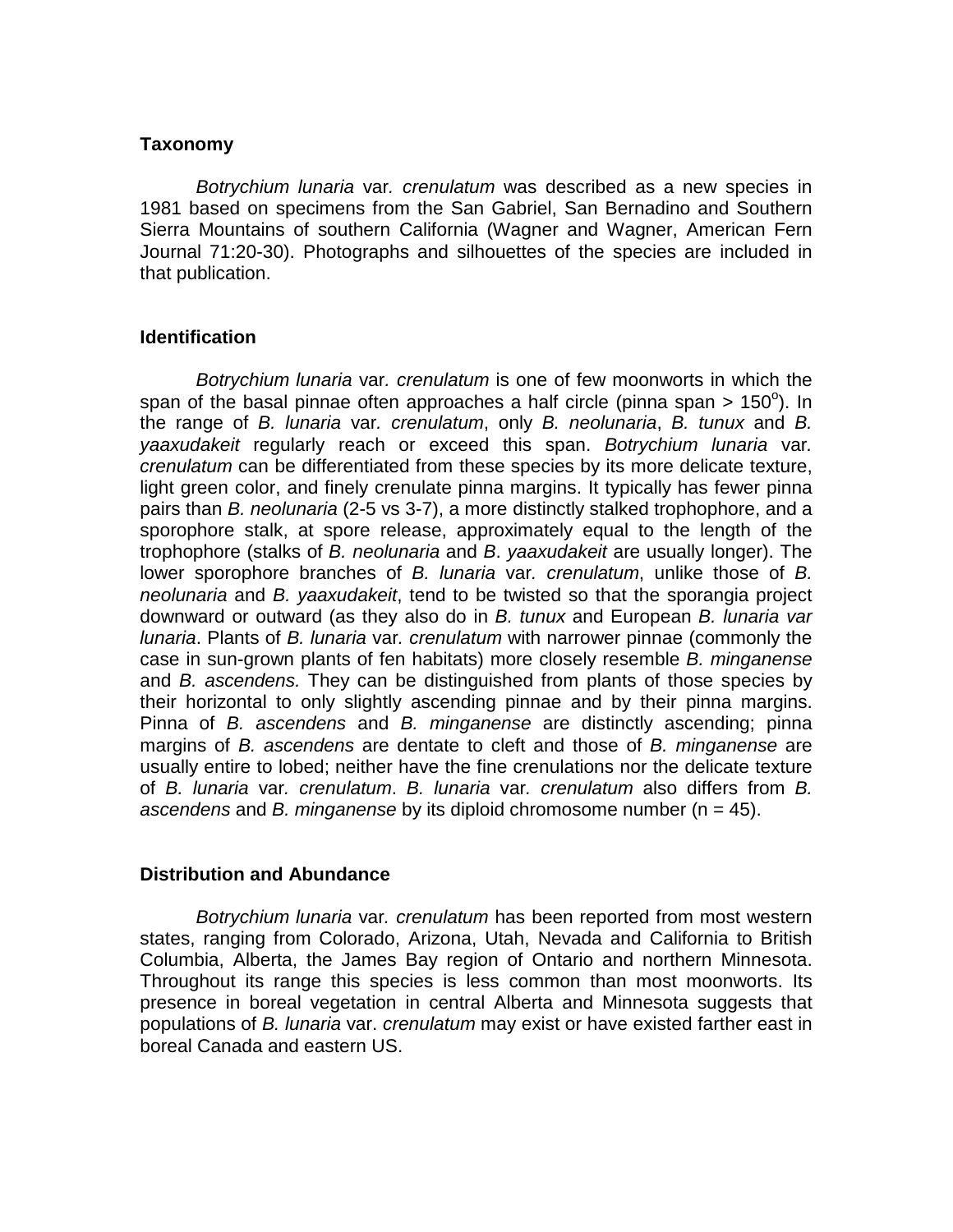## **Taxonomy**

*Botrychium lunaria* var*. crenulatum* was described as a new species in 1981 based on specimens from the San Gabriel, San Bernadino and Southern Sierra Mountains of southern California (Wagner and Wagner, American Fern Journal 71:20-30). Photographs and silhouettes of the species are included in that publication.

### **Identification**

*Botrychium lunaria* var*. crenulatum* is one of few moonworts in which the span of the basal pinnae often approaches a half circle (pinna span > 150 $^{\circ}$ ). In the range of *B. lunaria* var*. crenulatum*, only *B. neolunaria*, *B. tunux* and *B. yaaxudakeit* regularly reach or exceed this span. *Botrychium lunaria* var*. crenulatum* can be differentiated from these species by its more delicate texture, light green color, and finely crenulate pinna margins. It typically has fewer pinna pairs than *B. neolunaria* (2-5 vs 3-7), a more distinctly stalked trophophore, and a sporophore stalk, at spore release, approximately equal to the length of the trophophore (stalks of *B. neolunaria* and *B*. *yaaxudakeit* are usually longer). The lower sporophore branches of *B. lunaria* var*. crenulatum*, unlike those of *B. neolunaria* and *B. yaaxudakeit*, tend to be twisted so that the sporangia project downward or outward (as they also do in *B. tunux* and European *B. lunaria var lunaria*. Plants of *B. lunaria* var*. crenulatum* with narrower pinnae (commonly the case in sun-grown plants of fen habitats) more closely resemble *B. minganense* and *B. ascendens.* They can be distinguished from plants of those species by their horizontal to only slightly ascending pinnae and by their pinna margins. Pinna of *B. ascendens* and *B. minganense* are distinctly ascending; pinna margins of *B. ascendens* are dentate to cleft and those of *B. minganense* are usually entire to lobed; neither have the fine crenulations nor the delicate texture of *B. lunaria* var*. crenulatum*. *B. lunaria* var*. crenulatum* also differs from *B. ascendens* and *B. minganense* by its diploid chromosome number (n = 45).

### **Distribution and Abundance**

*Botrychium lunaria* var*. crenulatum* has been reported from most western states, ranging from Colorado, Arizona, Utah, Nevada and California to British Columbia, Alberta, the James Bay region of Ontario and northern Minnesota. Throughout its range this species is less common than most moonworts. Its presence in boreal vegetation in central Alberta and Minnesota suggests that populations of *B. lunaria* var. *crenulatum* may exist or have existed farther east in boreal Canada and eastern US.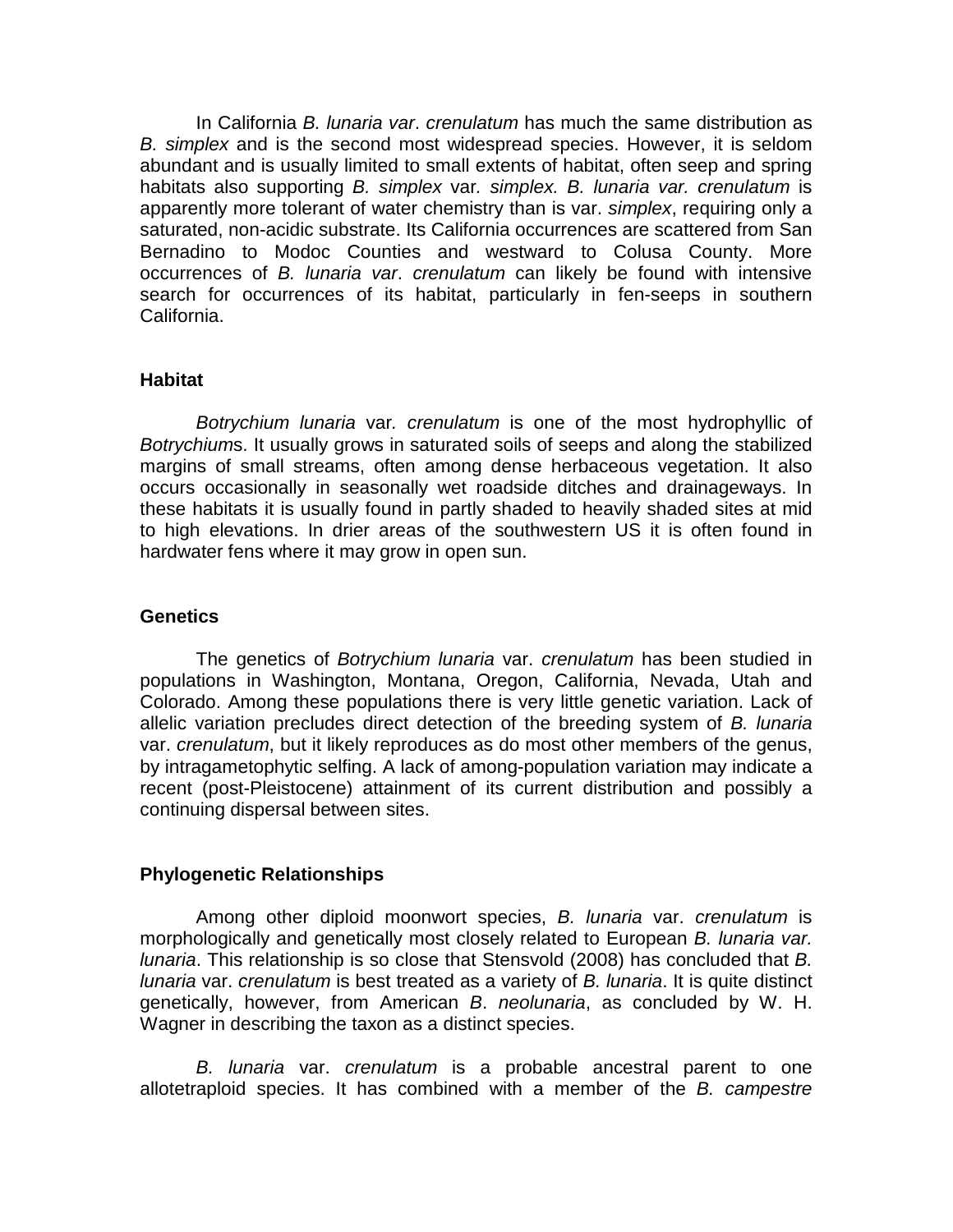In California *B. lunaria var*. *crenulatum* has much the same distribution as *B. simplex* and is the second most widespread species. However, it is seldom abundant and is usually limited to small extents of habitat, often seep and spring habitats also supporting *B. simplex* var*. simplex. B. lunaria var. crenulatum* is apparently more tolerant of water chemistry than is var. *simplex*, requiring only a saturated, non-acidic substrate. Its California occurrences are scattered from San Bernadino to Modoc Counties and westward to Colusa County. More occurrences of *B. lunaria var*. *crenulatum* can likely be found with intensive search for occurrences of its habitat, particularly in fen-seeps in southern California.

#### **Habitat**

*Botrychium lunaria* var*. crenulatum* is one of the most hydrophyllic of *Botrychium*s. It usually grows in saturated soils of seeps and along the stabilized margins of small streams, often among dense herbaceous vegetation. It also occurs occasionally in seasonally wet roadside ditches and drainageways. In these habitats it is usually found in partly shaded to heavily shaded sites at mid to high elevations. In drier areas of the southwestern US it is often found in hardwater fens where it may grow in open sun.

### **Genetics**

The genetics of *Botrychium lunaria* var. *crenulatum* has been studied in populations in Washington, Montana, Oregon, California, Nevada, Utah and Colorado. Among these populations there is very little genetic variation. Lack of allelic variation precludes direct detection of the breeding system of *B. lunaria*  var. *crenulatum*, but it likely reproduces as do most other members of the genus, by intragametophytic selfing. A lack of among-population variation may indicate a recent (post-Pleistocene) attainment of its current distribution and possibly a continuing dispersal between sites.

### **Phylogenetic Relationships**

Among other diploid moonwort species, *B. lunaria* var. *crenulatum* is morphologically and genetically most closely related to European *B. lunaria var. lunaria*. This relationship is so close that Stensvold (2008) has concluded that *B. lunaria* var. *crenulatum* is best treated as a variety of *B. lunaria*. It is quite distinct genetically, however, from American *B*. *neolunaria*, as concluded by W. H. Wagner in describing the taxon as a distinct species.

*B. lunaria* var. *crenulatum* is a probable ancestral parent to one allotetraploid species. It has combined with a member of the *B. campestre*